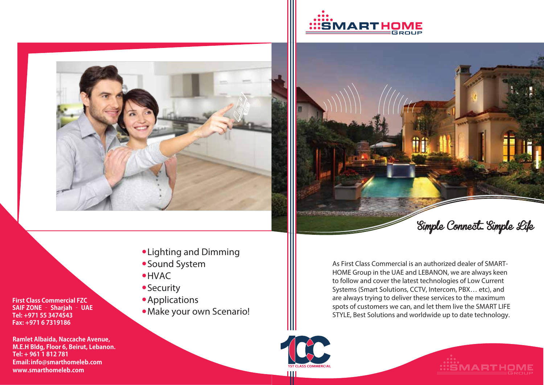





- Lighting and Dimming
- Sound System
- HVAC
- **Security**
- **•** Applications
- Make your own Scenario!

As First Class Commercial is an authorized dealer of SMART-HOME Group in the UAE and LEBANON, we are always keen to follow and cover the latest technologies of Low Current Systems (Smart Solutions, CCTV, Intercom, PBX… etc), and are always trying to deliver these services to the maximum spots of customers we can, and let them live the SMART LIFE STYLE, Best Solutions and worldwide up to date technology.





**First Class Commercial FZC SAIF ZONE – Sharjah – UAE Tel: +971 55 3474543 Fax: +971 6 7319186**

**Ramlet Albaida, Naccache Avenue, M.E.H Bldg, Floor 6, Beirut, Lebanon. Tel: + 961 1 812 781 Email:info@smarthomeleb.com www.smarthomeleb.com**